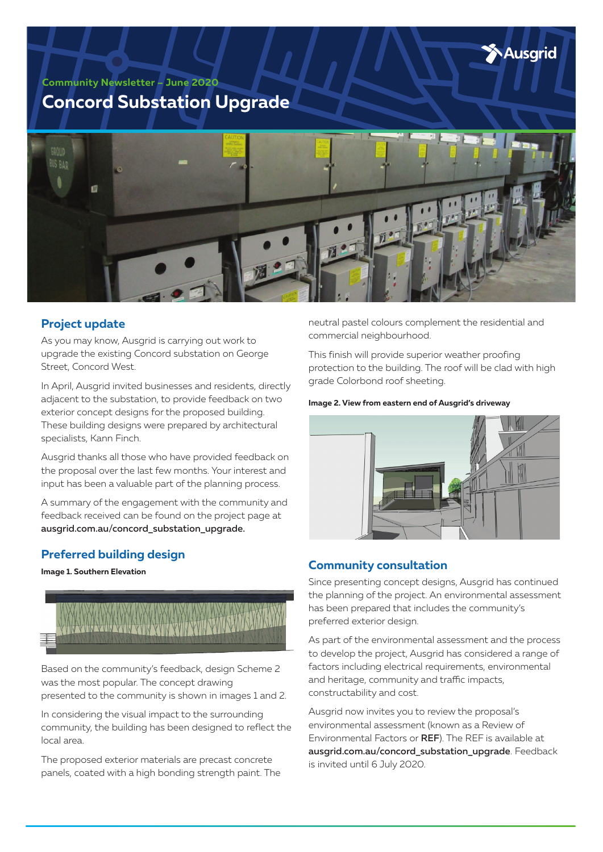

**Community Newsletter – June 2020**

# **Concord Substation Upgrade**



### **Project update**

As you may know, Ausgrid is carrying out work to upgrade the existing Concord substation on George Street, Concord West.

In April, Ausgrid invited businesses and residents, directly adjacent to the substation, to provide feedback on two exterior concept designs for the proposed building. These building designs were prepared by architectural specialists, Kann Finch.

Ausgrid thanks all those who have provided feedback on the proposal over the last few months. Your interest and input has been a valuable part of the planning process.

A summary of the engagement with the community and feedback received can be found on the project page at ausgrid.com.au/concord\_substation\_upgrade.

## **Preferred building design**

**Image 1. Southern Elevation**



Based on the community's feedback, design Scheme 2 was the most popular. The concept drawing presented to the community is shown in images 1 and 2.

In considering the visual impact to the surrounding community, the building has been designed to reflect the local area.

The proposed exterior materials are precast concrete panels, coated with a high bonding strength paint. The

neutral pastel colours complement the residential and commercial neighbourhood.

This finish will provide superior weather proofing protection to the building. The roof will be clad with high grade Colorbond roof sheeting.

### **Image 2. View from eastern end of Ausgrid's driveway**



# **Community consultation**

Since presenting concept designs, Ausgrid has continued the planning of the project. An environmental assessment has been prepared that includes the community's preferred exterior design.

As part of the environmental assessment and the process to develop the project, Ausgrid has considered a range of factors including electrical requirements, environmental and heritage, community and traffic impacts, constructability and cost.

Ausgrid now invites you to review the proposal's environmental assessment (known as a Review of Environmental Factors or REF). The REF is available at ausgrid.com.au/concord\_substation\_upgrade. Feedback is invited until 6 July 2020.